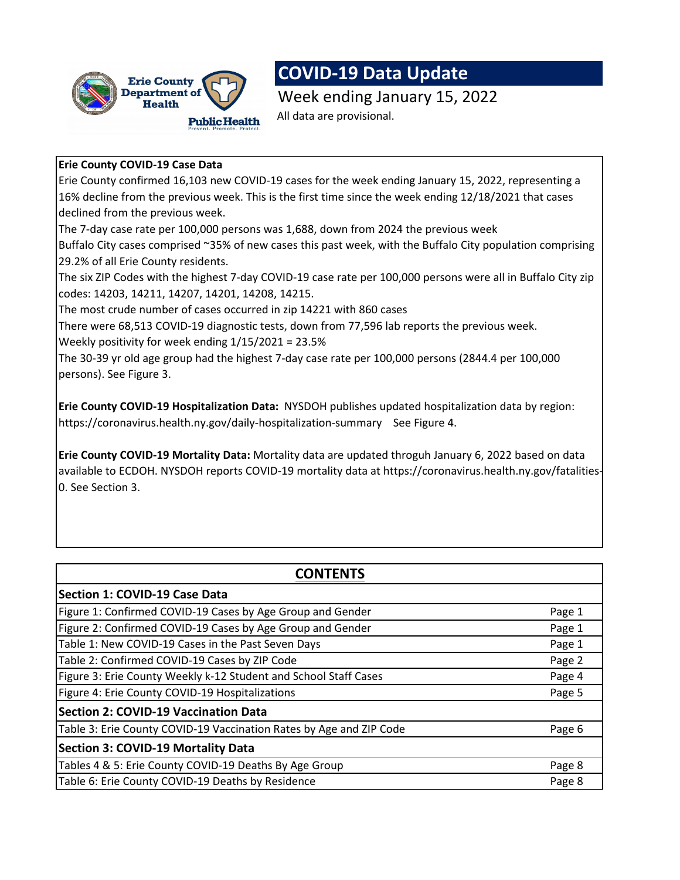

# **COVID-19 Data Update**

Week ending January 15, 2022 All data are provisional.

## **Erie County COVID-19 Case Data**

Erie County confirmed 16,103 new COVID-19 cases for the week ending January 15, 2022, representing a 16% decline from the previous week. This is the first time since the week ending 12/18/2021 that cases declined from the previous week.

The 7-day case rate per 100,000 persons was 1,688, down from 2024 the previous week

Buffalo City cases comprised ~35% of new cases this past week, with the Buffalo City population comprising 29.2% of all Erie County residents.

The six ZIP Codes with the highest 7-day COVID-19 case rate per 100,000 persons were all in Buffalo City zip codes: 14203, 14211, 14207, 14201, 14208, 14215.

The most crude number of cases occurred in zip 14221 with 860 cases

There were 68,513 COVID-19 diagnostic tests, down from 77,596 lab reports the previous week.

Weekly positivity for week ending 1/15/2021 = 23.5%

The 30-39 yr old age group had the highest 7-day case rate per 100,000 persons (2844.4 per 100,000 persons). See Figure 3.

**Erie County COVID-19 Hospitalization Data:** NYSDOH publishes updated hospitalization data by region: https://coronavirus.health.ny.gov/daily-hospitalization-summarySee Figure 4.

**Erie County COVID-19 Mortality Data:** Mortality data are updated throguh January 6, 2022 based on data available to ECDOH. NYSDOH reports COVID-19 mortality data at https://coronavirus.health.ny.gov/fatalities-0. See Section 3.

| <b>CONTENTS</b>                                                     |        |  |  |  |
|---------------------------------------------------------------------|--------|--|--|--|
| <b>Section 1: COVID-19 Case Data</b>                                |        |  |  |  |
| Figure 1: Confirmed COVID-19 Cases by Age Group and Gender          | Page 1 |  |  |  |
| Figure 2: Confirmed COVID-19 Cases by Age Group and Gender          | Page 1 |  |  |  |
| Table 1: New COVID-19 Cases in the Past Seven Days                  | Page 1 |  |  |  |
| Table 2: Confirmed COVID-19 Cases by ZIP Code                       | Page 2 |  |  |  |
| Figure 3: Erie County Weekly k-12 Student and School Staff Cases    | Page 4 |  |  |  |
| Figure 4: Erie County COVID-19 Hospitalizations                     | Page 5 |  |  |  |
| <b>Section 2: COVID-19 Vaccination Data</b>                         |        |  |  |  |
| Table 3: Erie County COVID-19 Vaccination Rates by Age and ZIP Code | Page 6 |  |  |  |
| <b>Section 3: COVID-19 Mortality Data</b>                           |        |  |  |  |
| Tables 4 & 5: Erie County COVID-19 Deaths By Age Group              | Page 8 |  |  |  |
| Table 6: Erie County COVID-19 Deaths by Residence                   | Page 8 |  |  |  |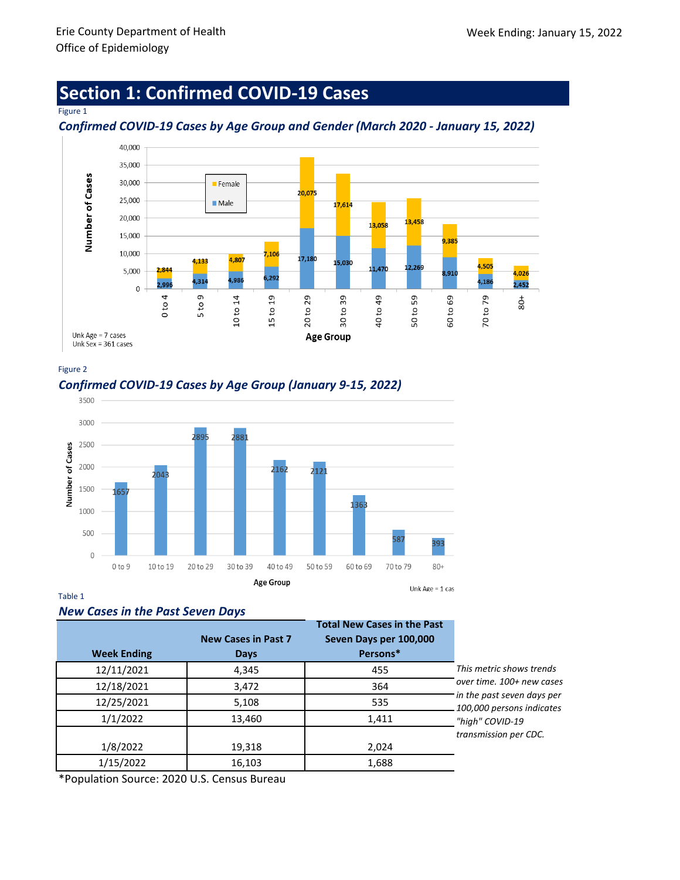# **Section 1: Confirmed COVID-19 Cases**

#### Figure 1

## *Confirmed COVID-19 Cases by Age Group and Gender (March 2020 - January 15, 2022)*



#### Figure 2

# *Confirmed COVID-19 Cases by Age Group (January 9-15, 2022)*



### Table 1

### *New Cases in the Past Seven Days*

|                    |                            | <b>Total New Cases in the Past</b> |                                                         |
|--------------------|----------------------------|------------------------------------|---------------------------------------------------------|
|                    | <b>New Cases in Past 7</b> | Seven Days per 100,000             |                                                         |
| <b>Week Ending</b> | <b>Days</b>                | Persons*                           |                                                         |
| 12/11/2021         | 4,345                      | 455                                | This metric shows trends                                |
| 12/18/2021         | 3,472                      | 364                                | over time. 100+ new cases                               |
| 12/25/2021         | 5,108                      | 535                                | in the past seven days per<br>100,000 persons indicates |
| 1/1/2022           | 13,460                     | 1,411                              | "high" COVID-19                                         |
|                    |                            |                                    | transmission per CDC.                                   |
| 1/8/2022           | 19,318                     | 2,024                              |                                                         |
| 1/15/2022          | 16,103                     | 1,688                              |                                                         |

\*Population Source: 2020 U.S. Census Bureau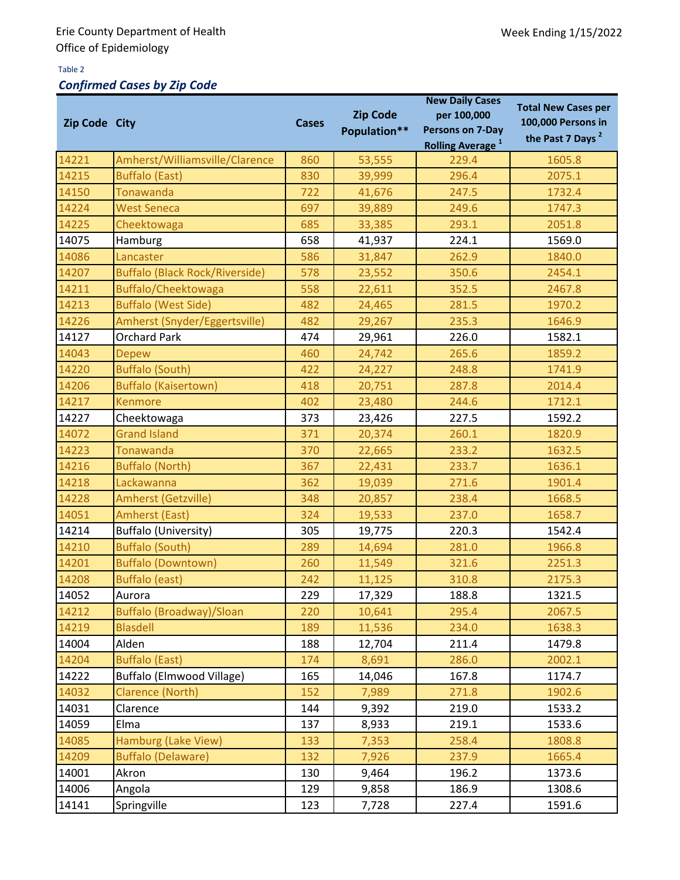### Table 2

# *Confirmed Cases by Zip Code*

| Zip Code City |                                       | <b>Cases</b> | <b>Zip Code</b><br>Population** | <b>New Daily Cases</b><br>per 100,000<br>Persons on 7-Day<br><b>Rolling Average</b> <sup>1</sup> | <b>Total New Cases per</b><br>100,000 Persons in<br>the Past 7 Days <sup>2</sup> |
|---------------|---------------------------------------|--------------|---------------------------------|--------------------------------------------------------------------------------------------------|----------------------------------------------------------------------------------|
| 14221         | Amherst/Williamsville/Clarence        | 860          | 53,555                          | 229.4                                                                                            | 1605.8                                                                           |
| 14215         | <b>Buffalo (East)</b>                 | 830          | 39,999                          | 296.4                                                                                            | 2075.1                                                                           |
| 14150         | <b>Tonawanda</b>                      | 722          | 41,676                          | 247.5                                                                                            | 1732.4                                                                           |
| 14224         | <b>West Seneca</b>                    | 697          | 39,889                          | 249.6                                                                                            | 1747.3                                                                           |
| 14225         | Cheektowaga                           | 685          | 33,385                          | 293.1                                                                                            | 2051.8                                                                           |
| 14075         | Hamburg                               | 658          | 41,937                          | 224.1                                                                                            | 1569.0                                                                           |
| 14086         | Lancaster                             | 586          | 31,847                          | 262.9                                                                                            | 1840.0                                                                           |
| 14207         | <b>Buffalo (Black Rock/Riverside)</b> | 578          | 23,552                          | 350.6                                                                                            | 2454.1                                                                           |
| 14211         | Buffalo/Cheektowaga                   | 558          | 22,611                          | 352.5                                                                                            | 2467.8                                                                           |
| 14213         | <b>Buffalo (West Side)</b>            | 482          | 24,465                          | 281.5                                                                                            | 1970.2                                                                           |
| 14226         | Amherst (Snyder/Eggertsville)         | 482          | 29,267                          | 235.3                                                                                            | 1646.9                                                                           |
| 14127         | <b>Orchard Park</b>                   | 474          | 29,961                          | 226.0                                                                                            | 1582.1                                                                           |
| 14043         | <b>Depew</b>                          | 460          | 24,742                          | 265.6                                                                                            | 1859.2                                                                           |
| 14220         | <b>Buffalo (South)</b>                | 422          | 24,227                          | 248.8                                                                                            | 1741.9                                                                           |
| 14206         | <b>Buffalo (Kaisertown)</b>           | 418          | 20,751                          | 287.8                                                                                            | 2014.4                                                                           |
| 14217         | <b>Kenmore</b>                        | 402          | 23,480                          | 244.6                                                                                            | 1712.1                                                                           |
| 14227         | Cheektowaga                           | 373          | 23,426                          | 227.5                                                                                            | 1592.2                                                                           |
| 14072         | <b>Grand Island</b>                   | 371          | 20,374                          | 260.1                                                                                            | 1820.9                                                                           |
| 14223         | Tonawanda                             | 370          | 22,665                          | 233.2                                                                                            | 1632.5                                                                           |
| 14216         | <b>Buffalo (North)</b>                | 367          | 22,431                          | 233.7                                                                                            | 1636.1                                                                           |
| 14218         | Lackawanna                            | 362          | 19,039                          | 271.6                                                                                            | 1901.4                                                                           |
| 14228         | Amherst (Getzville)                   | 348          | 20,857                          | 238.4                                                                                            | 1668.5                                                                           |
| 14051         | <b>Amherst (East)</b>                 | 324          | 19,533                          | 237.0                                                                                            | 1658.7                                                                           |
| 14214         | <b>Buffalo (University)</b>           | 305          | 19,775                          | 220.3                                                                                            | 1542.4                                                                           |
| 14210         | <b>Buffalo (South)</b>                | 289          | 14,694                          | 281.0                                                                                            | 1966.8                                                                           |
| 14201         | <b>Buffalo (Downtown)</b>             | 260          | 11,549                          | 321.6                                                                                            | 2251.3                                                                           |
| 14208         | <b>Buffalo (east)</b>                 | 242          | 11,125                          | 310.8                                                                                            | 2175.3                                                                           |
| 14052         | Aurora                                | 229          | 17,329                          | 188.8                                                                                            | 1321.5                                                                           |
| 14212         | <b>Buffalo (Broadway)/Sloan</b>       | 220          | 10,641                          | 295.4                                                                                            | 2067.5                                                                           |
| 14219         | <b>Blasdell</b>                       | 189          | 11,536                          | 234.0                                                                                            | 1638.3                                                                           |
| 14004         | Alden                                 | 188          | 12,704                          | 211.4                                                                                            | 1479.8                                                                           |
| 14204         | <b>Buffalo (East)</b>                 | 174          | 8,691                           | 286.0                                                                                            | 2002.1                                                                           |
| 14222         | Buffalo (Elmwood Village)             | 165          | 14,046                          | 167.8                                                                                            | 1174.7                                                                           |
| 14032         | <b>Clarence (North)</b>               | 152          | 7,989                           | 271.8                                                                                            | 1902.6                                                                           |
| 14031         | Clarence                              | 144          | 9,392                           | 219.0                                                                                            | 1533.2                                                                           |
| 14059         | Elma                                  | 137          | 8,933                           | 219.1                                                                                            | 1533.6                                                                           |
| 14085         | Hamburg (Lake View)                   | 133          | 7,353                           | 258.4                                                                                            | 1808.8                                                                           |
| 14209         | <b>Buffalo (Delaware)</b>             | 132          | 7,926                           | 237.9                                                                                            | 1665.4                                                                           |
| 14001         | Akron                                 | 130          | 9,464                           | 196.2                                                                                            | 1373.6                                                                           |
| 14006         | Angola                                | 129          | 9,858                           | 186.9                                                                                            | 1308.6                                                                           |
| 14141         | Springville                           | 123          | 7,728                           | 227.4                                                                                            | 1591.6                                                                           |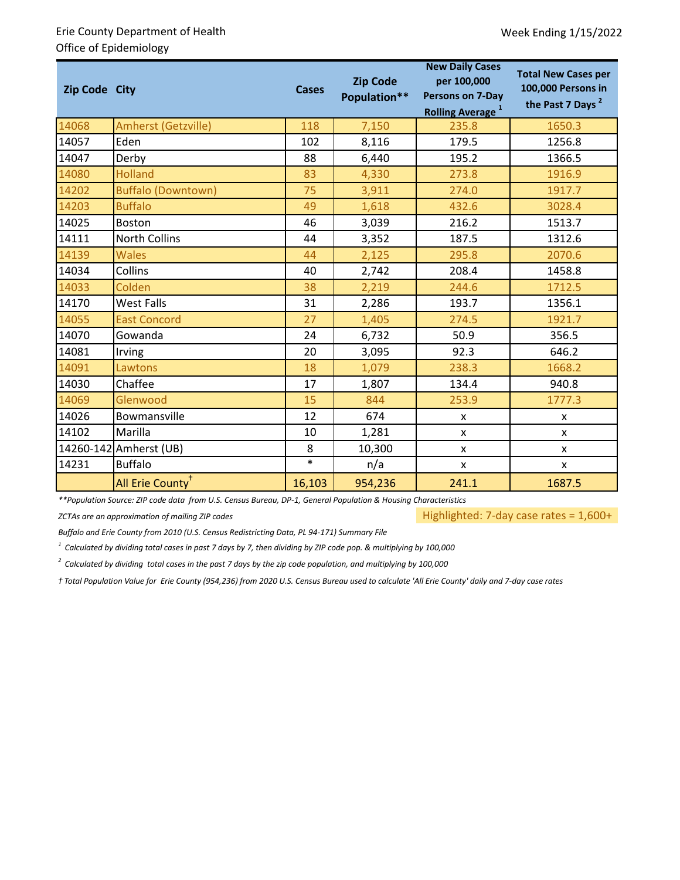## Erie County Department of Health Office of Epidemiology

| Zip Code City |                              | <b>Cases</b> | <b>Zip Code</b><br>Population** | <b>New Daily Cases</b><br>per 100,000<br><b>Persons on 7-Day</b><br><b>Rolling Average</b> <sup>1</sup> | <b>Total New Cases per</b><br>100,000 Persons in<br>the Past 7 Days <sup>2</sup> |  |
|---------------|------------------------------|--------------|---------------------------------|---------------------------------------------------------------------------------------------------------|----------------------------------------------------------------------------------|--|
| 14068         | Amherst (Getzville)          | 118          | 7,150                           | 235.8                                                                                                   | 1650.3                                                                           |  |
| 14057         | Eden                         | 102          | 8,116                           | 179.5                                                                                                   | 1256.8                                                                           |  |
| 14047         | Derby                        | 88           | 6,440                           | 195.2                                                                                                   | 1366.5                                                                           |  |
| 14080         | <b>Holland</b>               | 83           | 4,330                           | 273.8                                                                                                   | 1916.9                                                                           |  |
| 14202         | <b>Buffalo (Downtown)</b>    | 75           | 3,911                           | 274.0                                                                                                   | 1917.7                                                                           |  |
| 14203         | <b>Buffalo</b>               | 49           | 1,618                           | 432.6                                                                                                   | 3028.4                                                                           |  |
| 14025         | Boston                       | 46           | 3,039                           | 216.2                                                                                                   | 1513.7                                                                           |  |
| 14111         | <b>North Collins</b>         | 44           | 3,352                           | 187.5                                                                                                   | 1312.6                                                                           |  |
| 14139         | <b>Wales</b>                 | 44           | 2,125                           | 295.8                                                                                                   | 2070.6                                                                           |  |
| 14034         | Collins                      | 40           | 2,742                           | 208.4                                                                                                   | 1458.8                                                                           |  |
| 14033         | Colden                       | 38           | 2,219                           | 244.6                                                                                                   | 1712.5                                                                           |  |
| 14170         | West Falls                   | 31           | 2,286                           | 193.7                                                                                                   | 1356.1                                                                           |  |
| 14055         | <b>East Concord</b>          | 27           | 1,405                           | 274.5                                                                                                   | 1921.7                                                                           |  |
| 14070         | Gowanda                      | 24           | 6,732                           | 50.9                                                                                                    | 356.5                                                                            |  |
| 14081         | Irving                       | 20           | 3,095                           | 92.3                                                                                                    | 646.2                                                                            |  |
| 14091         | Lawtons                      | 18           | 1,079                           | 238.3                                                                                                   | 1668.2                                                                           |  |
| 14030         | Chaffee                      | 17           | 1,807                           | 134.4                                                                                                   | 940.8                                                                            |  |
| 14069         | Glenwood                     | 15           | 844                             | 253.9                                                                                                   | 1777.3                                                                           |  |
| 14026         | Bowmansville                 | 12           | 674                             | X                                                                                                       | X                                                                                |  |
| 14102         | Marilla                      | 10           | 1,281                           | X                                                                                                       | X                                                                                |  |
|               | 14260-142 Amherst (UB)       | 8            | 10,300                          | X                                                                                                       | X                                                                                |  |
| 14231         | <b>Buffalo</b>               | $\ast$       | n/a                             | X                                                                                                       | X                                                                                |  |
|               | All Erie County <sup>+</sup> | 16,103       | 954,236                         | 241.1                                                                                                   | 1687.5                                                                           |  |

*\*\*Population Source: ZIP code data from U.S. Census Bureau, DP-1, General Population & Housing Characteristics*

*ZCTAs are an approximation of mailing ZIP codes*

Highlighted: 7-day case rates = 1,600+

*Buffalo and Erie County from 2010 (U.S. Census Redistricting Data, PL 94-171) Summary File*

*1 Calculated by dividing total cases in past 7 days by 7, then dividing by ZIP code pop. & multiplying by 100,000*

*2 Calculated by dividing total cases in the past 7 days by the zip code population, and multiplying by 100,000*

*ⴕ Total Population Value for Erie County (954,236) from 2020 U.S. Census Bureau used to calculate 'All Erie County' daily and 7-day case rates*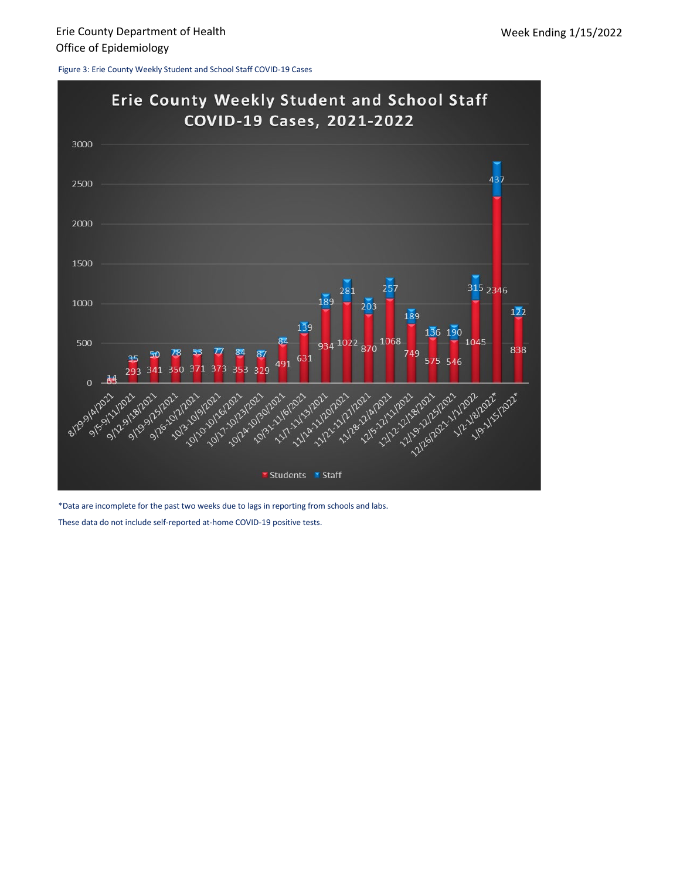Figure 3: Erie County Weekly Student and School Staff COVID-19 Cases



\*Data are incomplete for the past two weeks due to lags in reporting from schools and labs.

These data do not include self-reported at-home COVID-19 positive tests.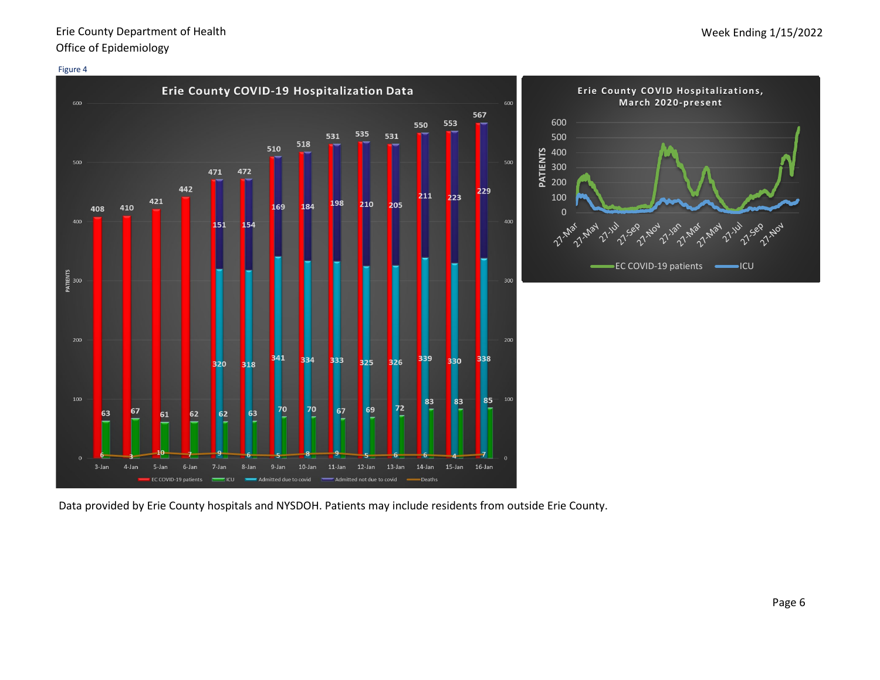## Erie County Department of Health Office of Epidemiology

#### Figure 4



Data provided by Erie County hospitals and NYSDOH. Patients may include residents from outside Erie County.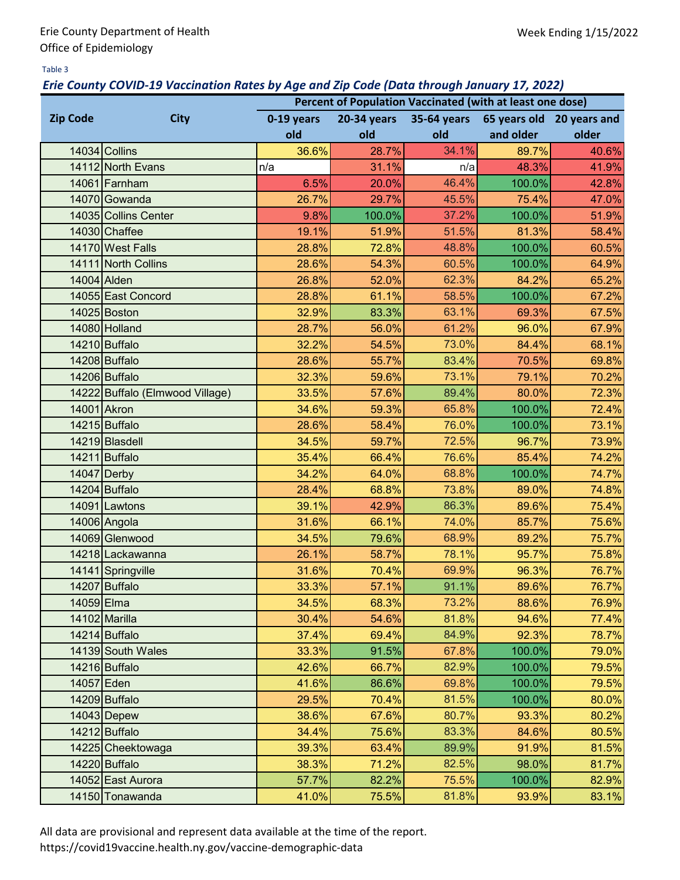### Table 3

## *Erie County COVID-19 Vaccination Rates by Age and Zip Code (Data through January 17, 2022)*

|                                |                                 | Percent of Population Vaccinated (with at least one dose) |             |             |           |                           |  |  |  |
|--------------------------------|---------------------------------|-----------------------------------------------------------|-------------|-------------|-----------|---------------------------|--|--|--|
| <b>City</b><br><b>Zip Code</b> |                                 | 0-19 years                                                | 20-34 years | 35-64 years |           | 65 years old 20 years and |  |  |  |
|                                |                                 | old                                                       | old         | old         | and older | older                     |  |  |  |
|                                | 14034 Collins                   | 36.6%                                                     | 28.7%       | 34.1%       | 89.7%     | 40.6%                     |  |  |  |
|                                | 14112 North Evans               | n/a                                                       | 31.1%       | n/a         | 48.3%     | 41.9%                     |  |  |  |
|                                | 14061 Farnham                   | 6.5%                                                      | 20.0%       | 46.4%       | 100.0%    | 42.8%                     |  |  |  |
|                                | 14070 Gowanda                   | 26.7%                                                     | 29.7%       | 45.5%       | 75.4%     | 47.0%                     |  |  |  |
|                                | 14035 Collins Center            | 9.8%                                                      | 100.0%      | 37.2%       | 100.0%    | 51.9%                     |  |  |  |
|                                | 14030 Chaffee                   | 19.1%                                                     | 51.9%       | 51.5%       | 81.3%     | 58.4%                     |  |  |  |
|                                | 14170 West Falls                | 28.8%                                                     | 72.8%       | 48.8%       | 100.0%    | 60.5%                     |  |  |  |
|                                | 14111 North Collins             | 28.6%                                                     | 54.3%       | 60.5%       | 100.0%    | 64.9%                     |  |  |  |
|                                | 14004 Alden                     | 26.8%                                                     | 52.0%       | 62.3%       | 84.2%     | 65.2%                     |  |  |  |
|                                | 14055 East Concord              | 28.8%                                                     | 61.1%       | 58.5%       | 100.0%    | 67.2%                     |  |  |  |
|                                | 14025 Boston                    | 32.9%                                                     | 83.3%       | 63.1%       | 69.3%     | 67.5%                     |  |  |  |
|                                | 14080 Holland                   | 28.7%                                                     | 56.0%       | 61.2%       | 96.0%     | 67.9%                     |  |  |  |
|                                | 14210 Buffalo                   | 32.2%                                                     | 54.5%       | 73.0%       | 84.4%     | 68.1%                     |  |  |  |
|                                | 14208 Buffalo                   | 28.6%                                                     | 55.7%       | 83.4%       | 70.5%     | 69.8%                     |  |  |  |
|                                | 14206 Buffalo                   | 32.3%                                                     | 59.6%       | 73.1%       | 79.1%     | 70.2%                     |  |  |  |
|                                | 14222 Buffalo (Elmwood Village) | 33.5%                                                     | 57.6%       | 89.4%       | 80.0%     | 72.3%                     |  |  |  |
|                                | 14001 Akron                     | 34.6%                                                     | 59.3%       | 65.8%       | 100.0%    | 72.4%                     |  |  |  |
|                                | 14215 Buffalo                   | 28.6%                                                     | 58.4%       | 76.0%       | 100.0%    | 73.1%                     |  |  |  |
|                                | 14219 Blasdell                  | 34.5%                                                     | 59.7%       | 72.5%       | 96.7%     | 73.9%                     |  |  |  |
|                                | 14211 Buffalo                   | 35.4%                                                     | 66.4%       | 76.6%       | 85.4%     | 74.2%                     |  |  |  |
|                                | 14047 Derby                     | 34.2%                                                     | 64.0%       | 68.8%       | 100.0%    | 74.7%                     |  |  |  |
|                                | 14204 Buffalo                   | 28.4%                                                     | 68.8%       | 73.8%       | 89.0%     | 74.8%                     |  |  |  |
|                                | 14091 Lawtons                   | 39.1%                                                     | 42.9%       | 86.3%       | 89.6%     | 75.4%                     |  |  |  |
|                                | 14006 Angola                    | 31.6%                                                     | 66.1%       | 74.0%       | 85.7%     | 75.6%                     |  |  |  |
|                                | 14069 Glenwood                  | 34.5%                                                     | 79.6%       | 68.9%       | 89.2%     | 75.7%                     |  |  |  |
|                                | 14218 Lackawanna                | 26.1%                                                     | 58.7%       | 78.1%       | 95.7%     | 75.8%                     |  |  |  |
|                                | 14141 Springville               | 31.6%                                                     | 70.4%       | 69.9%       | 96.3%     | 76.7%                     |  |  |  |
|                                | 14207 Buffalo                   | 33.3%                                                     | 57.1%       | 91.1%       | 89.6%     | 76.7%                     |  |  |  |
| 14059 Elma                     |                                 | 34.5%                                                     | 68.3%       | 73.2%       | 88.6%     | 76.9%                     |  |  |  |
|                                | 14102 Marilla                   | 30.4%                                                     | 54.6%       | 81.8%       | 94.6%     | 77.4%                     |  |  |  |
|                                | 14214 Buffalo                   | 37.4%                                                     | 69.4%       | 84.9%       | 92.3%     | 78.7%                     |  |  |  |
|                                | 14139 South Wales               | 33.3%                                                     | 91.5%       | 67.8%       | 100.0%    | 79.0%                     |  |  |  |
|                                | 14216 Buffalo                   | 42.6%                                                     | 66.7%       | 82.9%       | 100.0%    | 79.5%                     |  |  |  |
| 14057 Eden                     |                                 | 41.6%                                                     | 86.6%       | 69.8%       | 100.0%    | 79.5%                     |  |  |  |
|                                | 14209 Buffalo                   | 29.5%                                                     | 70.4%       | 81.5%       | 100.0%    | 80.0%                     |  |  |  |
|                                | $14043$ Depew                   | 38.6%                                                     | 67.6%       | 80.7%       | 93.3%     | 80.2%                     |  |  |  |
|                                | 14212 Buffalo                   | 34.4%                                                     | 75.6%       | 83.3%       | 84.6%     | 80.5%                     |  |  |  |
|                                | 14225 Cheektowaga               | 39.3%                                                     | 63.4%       | 89.9%       | 91.9%     | 81.5%                     |  |  |  |
|                                | 14220 Buffalo                   | 38.3%                                                     | 71.2%       | 82.5%       | 98.0%     | 81.7%                     |  |  |  |
|                                | 14052 East Aurora               | 57.7%                                                     | 82.2%       | 75.5%       | 100.0%    | 82.9%                     |  |  |  |
|                                | 14150 Tonawanda                 | 41.0%                                                     | 75.5%       | 81.8%       | 93.9%     | 83.1%                     |  |  |  |

All data are provisional and represent data available at the time of the report.

https://covid19vaccine.health.ny.gov/vaccine-demographic-data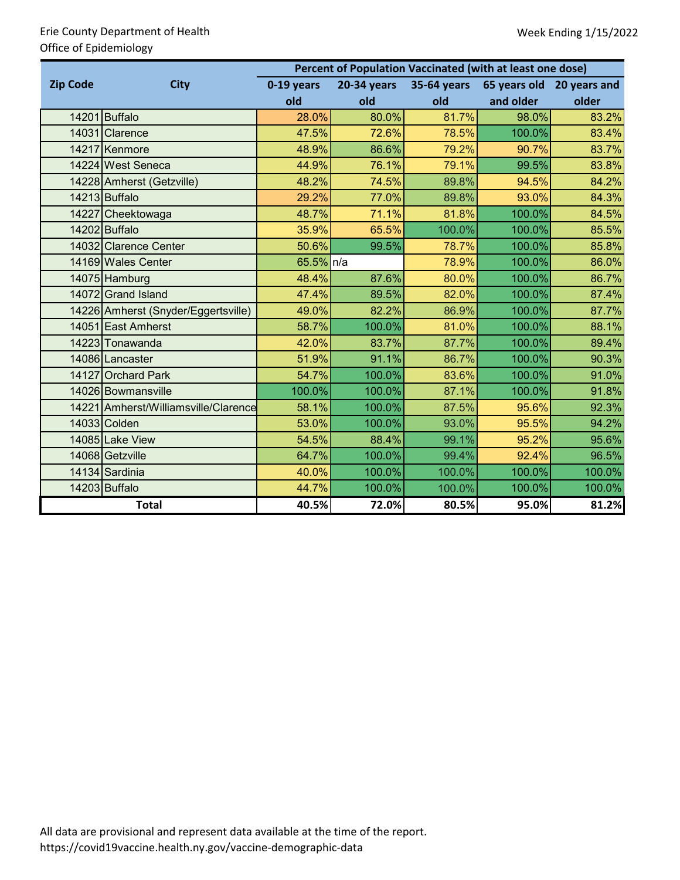# Erie County Department of Health Office of Epidemiology

|                 |                                      | Percent of Population Vaccinated (with at least one dose) |             |             |           |                           |  |  |  |  |
|-----------------|--------------------------------------|-----------------------------------------------------------|-------------|-------------|-----------|---------------------------|--|--|--|--|
| <b>Zip Code</b> | <b>City</b>                          |                                                           | 20-34 years | 35-64 years |           | 65 years old 20 years and |  |  |  |  |
|                 |                                      | old                                                       | old         | old         | and older | older                     |  |  |  |  |
|                 | 14201 Buffalo                        | 28.0%                                                     | 80.0%       | 81.7%       | 98.0%     | 83.2%                     |  |  |  |  |
|                 | 14031 Clarence                       | 47.5%                                                     | 72.6%       | 78.5%       | 100.0%    | 83.4%                     |  |  |  |  |
|                 | 14217 Kenmore                        | 48.9%                                                     | 86.6%       | 79.2%       | 90.7%     | 83.7%                     |  |  |  |  |
|                 | 14224 West Seneca                    | 44.9%                                                     | 76.1%       | 79.1%       | 99.5%     | 83.8%                     |  |  |  |  |
|                 | 14228 Amherst (Getzville)            | 48.2%                                                     | 74.5%       | 89.8%       | 94.5%     | 84.2%                     |  |  |  |  |
|                 | 14213 Buffalo                        | 29.2%                                                     | 77.0%       | 89.8%       | 93.0%     | 84.3%                     |  |  |  |  |
|                 | 14227 Cheektowaga                    | 48.7%                                                     | 71.1%       | 81.8%       | 100.0%    | 84.5%                     |  |  |  |  |
|                 | 14202 Buffalo                        | 35.9%                                                     | 65.5%       | 100.0%      | 100.0%    | 85.5%                     |  |  |  |  |
|                 | 14032 Clarence Center                | 50.6%                                                     | 99.5%       | 78.7%       | 100.0%    | 85.8%                     |  |  |  |  |
|                 | 14169 Wales Center                   | 65.5% n/a                                                 |             | 78.9%       | 100.0%    | 86.0%                     |  |  |  |  |
|                 | 14075 Hamburg                        | 48.4%                                                     | 87.6%       | 80.0%       | 100.0%    | 86.7%                     |  |  |  |  |
|                 | 14072 Grand Island                   | 47.4%                                                     | 89.5%       | 82.0%       | 100.0%    | 87.4%                     |  |  |  |  |
|                 | 14226 Amherst (Snyder/Eggertsville)  | 49.0%                                                     | 82.2%       | 86.9%       | 100.0%    | 87.7%                     |  |  |  |  |
|                 | 14051 East Amherst                   | 58.7%                                                     | 100.0%      | 81.0%       | 100.0%    | 88.1%                     |  |  |  |  |
|                 | 14223 Tonawanda                      | 42.0%                                                     | 83.7%       | 87.7%       | 100.0%    | 89.4%                     |  |  |  |  |
|                 | 14086 Lancaster                      | 51.9%                                                     | 91.1%       | 86.7%       | 100.0%    | 90.3%                     |  |  |  |  |
|                 | 14127 Orchard Park                   | 54.7%                                                     | 100.0%      | 83.6%       | 100.0%    | 91.0%                     |  |  |  |  |
|                 | 14026 Bowmansville                   | 100.0%                                                    | 100.0%      | 87.1%       | 100.0%    | 91.8%                     |  |  |  |  |
|                 | 14221 Amherst/Williamsville/Clarence | 58.1%                                                     | 100.0%      | 87.5%       | 95.6%     | 92.3%                     |  |  |  |  |
|                 | 14033 Colden                         | 53.0%                                                     | 100.0%      | 93.0%       | 95.5%     | 94.2%                     |  |  |  |  |
|                 | 14085 Lake View                      | 54.5%                                                     | 88.4%       | 99.1%       | 95.2%     | 95.6%                     |  |  |  |  |
|                 | 14068 Getzville                      | 64.7%                                                     | 100.0%      | 99.4%       | 92.4%     | 96.5%                     |  |  |  |  |
|                 | 14134 Sardinia                       | 40.0%                                                     | 100.0%      | 100.0%      | 100.0%    | 100.0%                    |  |  |  |  |
|                 | 14203 Buffalo                        | 44.7%                                                     | 100.0%      | 100.0%      | 100.0%    | 100.0%                    |  |  |  |  |
|                 | <b>Total</b>                         | 40.5%                                                     | 72.0%       | 80.5%       | 95.0%     | 81.2%                     |  |  |  |  |